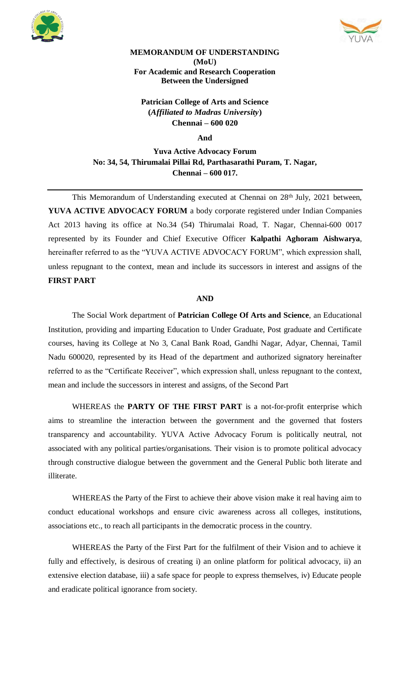



## **MEMORANDUM OF UNDERSTANDING (MoU) For Academic and Research Cooperation Between the Undersigned**

**Patrician College of Arts and Science (***Affiliated to Madras University***) Chennai – 600 020**

**And**

**Yuva Active Advocacy Forum No: 34, 54, Thirumalai Pillai Rd, Parthasarathi Puram, T. Nagar, Chennai – 600 017.**

This Memorandum of Understanding executed at Chennai on 28<sup>th</sup> July, 2021 between, **YUVA ACTIVE ADVOCACY FORUM** a body corporate registered under Indian Companies Act 2013 having its office at No.34 (54) Thirumalai Road, T. Nagar, Chennai-600 0017 represented by its Founder and Chief Executive Officer **Kalpathi Aghoram Aishwarya**, hereinafter referred to as the "YUVA ACTIVE ADVOCACY FORUM", which expression shall, unless repugnant to the context, mean and include its successors in interest and assigns of the **FIRST PART**

## **AND**

The Social Work department of **Patrician College Of Arts and Science**, an Educational Institution, providing and imparting Education to Under Graduate, Post graduate and Certificate courses, having its College at No 3, Canal Bank Road, Gandhi Nagar, Adyar, Chennai, Tamil Nadu 600020, represented by its Head of the department and authorized signatory hereinafter referred to as the "Certificate Receiver", which expression shall, unless repugnant to the context, mean and include the successors in interest and assigns, of the Second Part

WHEREAS the **PARTY OF THE FIRST PART** is a not-for-profit enterprise which aims to streamline the interaction between the government and the governed that fosters transparency and accountability. YUVA Active Advocacy Forum is politically neutral, not associated with any political parties/organisations. Their vision is to promote political advocacy through constructive dialogue between the government and the General Public both literate and illiterate.

WHEREAS the Party of the First to achieve their above vision make it real having aim to conduct educational workshops and ensure civic awareness across all colleges, institutions, associations etc., to reach all participants in the democratic process in the country.

WHEREAS the Party of the First Part for the fulfilment of their Vision and to achieve it fully and effectively, is desirous of creating i) an online platform for political advocacy, ii) an extensive election database, iii) a safe space for people to express themselves, iv) Educate people and eradicate political ignorance from society.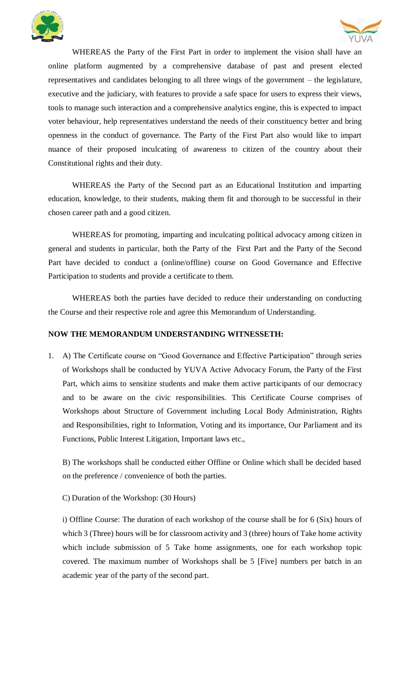



WHEREAS the Party of the First Part in order to implement the vision shall have an online platform augmented by a comprehensive database of past and present elected representatives and candidates belonging to all three wings of the government – the legislature, executive and the judiciary, with features to provide a safe space for users to express their views, tools to manage such interaction and a comprehensive analytics engine, this is expected to impact voter behaviour, help representatives understand the needs of their constituency better and bring openness in the conduct of governance. The Party of the First Part also would like to impart nuance of their proposed inculcating of awareness to citizen of the country about their Constitutional rights and their duty.

WHEREAS the Party of the Second part as an Educational Institution and imparting education, knowledge, to their students, making them fit and thorough to be successful in their chosen career path and a good citizen.

WHEREAS for promoting, imparting and inculcating political advocacy among citizen in general and students in particular, both the Party of the First Part and the Party of the Second Part have decided to conduct a (online/offline) course on Good Governance and Effective Participation to students and provide a certificate to them.

WHEREAS both the parties have decided to reduce their understanding on conducting the Course and their respective role and agree this Memorandum of Understanding.

## **NOW THE MEMORANDUM UNDERSTANDING WITNESSETH:**

1. A) The Certificate course on "Good Governance and Effective Participation" through series of Workshops shall be conducted by YUVA Active Advocacy Forum, the Party of the First Part, which aims to sensitize students and make them active participants of our democracy and to be aware on the civic responsibilities. This Certificate Course comprises of Workshops about Structure of Government including Local Body Administration, Rights and Responsibilities, right to Information, Voting and its importance, Our Parliament and its Functions, Public Interest Litigation, Important laws etc.,

B) The workshops shall be conducted either Offline or Online which shall be decided based on the preference / convenience of both the parties.

## C) Duration of the Workshop: (30 Hours)

i) Offline Course: The duration of each workshop of the course shall be for 6 (Six) hours of which 3 (Three) hours will be for classroom activity and 3 (three) hours of Take home activity which include submission of 5 Take home assignments, one for each workshop topic covered. The maximum number of Workshops shall be 5 [Five] numbers per batch in an academic year of the party of the second part.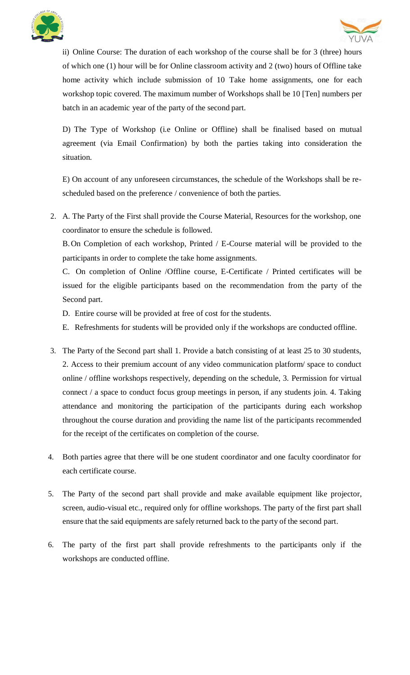



ii) Online Course: The duration of each workshop of the course shall be for 3 (three) hours of which one (1) hour will be for Online classroom activity and 2 (two) hours of Offline take home activity which include submission of 10 Take home assignments, one for each workshop topic covered. The maximum number of Workshops shall be 10 [Ten] numbers per batch in an academic year of the party of the second part.

D) The Type of Workshop (i.e Online or Offline) shall be finalised based on mutual agreement (via Email Confirmation) by both the parties taking into consideration the situation.

E) On account of any unforeseen circumstances, the schedule of the Workshops shall be rescheduled based on the preference / convenience of both the parties.

2. A. The Party of the First shall provide the Course Material, Resources for the workshop, one coordinator to ensure the schedule is followed.

B.On Completion of each workshop, Printed / E-Course material will be provided to the participants in order to complete the take home assignments.

C. On completion of Online /Offline course, E-Certificate / Printed certificates will be issued for the eligible participants based on the recommendation from the party of the Second part.

- D. Entire course will be provided at free of cost for the students.
- E. Refreshments for students will be provided only if the workshops are conducted offline.
- 3. The Party of the Second part shall 1. Provide a batch consisting of at least 25 to 30 students, 2. Access to their premium account of any video communication platform/ space to conduct online / offline workshops respectively, depending on the schedule, 3. Permission for virtual connect / a space to conduct focus group meetings in person, if any students join. 4. Taking attendance and monitoring the participation of the participants during each workshop throughout the course duration and providing the name list of the participants recommended for the receipt of the certificates on completion of the course.
- 4. Both parties agree that there will be one student coordinator and one faculty coordinator for each certificate course.
- 5. The Party of the second part shall provide and make available equipment like projector, screen, audio-visual etc., required only for offline workshops. The party of the first part shall ensure that the said equipments are safely returned back to the party of the second part.
- 6. The party of the first part shall provide refreshments to the participants only if the workshops are conducted offline.